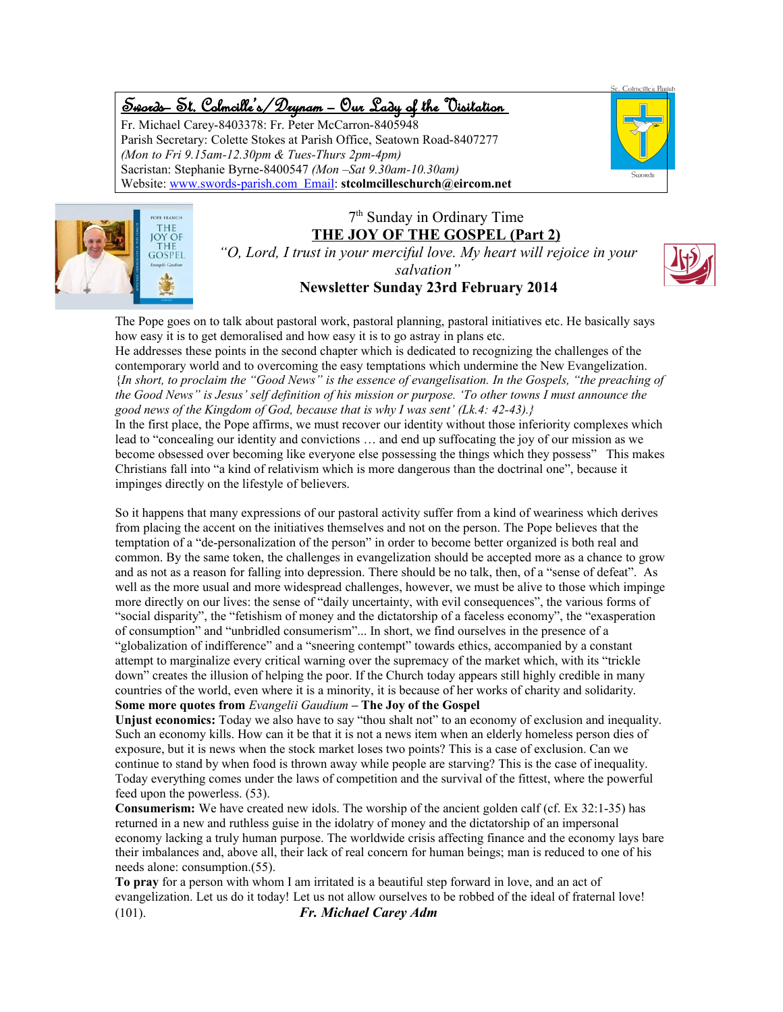# Swords – St. Colmcille's /Drynam – Our Lady of the Visitation

Fr. Michael Carey-8403378: Fr. Peter McCarron-8405948 Parish Secretary: Colette Stokes at Parish Office, Seatown Road-8407277 *(Mon to Fri 9.15am-12.30pm & Tues-Thurs 2pm-4pm)* Sacristan: Stephanie Byrne-8400547 *(Mon –Sat 9.30am-10.30am)* Website: www.swords-parish.com Email: **stcolmcilleschurch@eircom.net**





### 7 th Sunday in Ordinary Time **THE JOY OF THE GOSPEL (Part 2)**

*"O, Lord, I trust in your merciful love. My heart will rejoice in your salvation"* **Newsletter Sunday 23rd February 2014**



The Pope goes on to talk about pastoral work, pastoral planning, pastoral initiatives etc. He basically says how easy it is to get demoralised and how easy it is to go astray in plans etc.

He addresses these points in the second chapter which is dedicated to recognizing the challenges of the contemporary world and to overcoming the easy temptations which undermine the New Evangelization. {*In short, to proclaim the "Good News" is the essence of evangelisation. In the Gospels, "the preaching of the Good News" is Jesus' self definition of his mission or purpose. 'To other towns I must announce the good news of the Kingdom of God, because that is why I was sent' (Lk.4: 42-43).}*

In the first place, the Pope affirms, we must recover our identity without those inferiority complexes which lead to "concealing our identity and convictions … and end up suffocating the joy of our mission as we become obsessed over becoming like everyone else possessing the things which they possess" This makes Christians fall into "a kind of relativism which is more dangerous than the doctrinal one", because it impinges directly on the lifestyle of believers.

So it happens that many expressions of our pastoral activity suffer from a kind of weariness which derives from placing the accent on the initiatives themselves and not on the person. The Pope believes that the temptation of a "de-personalization of the person" in order to become better organized is both real and common. By the same token, the challenges in evangelization should be accepted more as a chance to grow and as not as a reason for falling into depression. There should be no talk, then, of a "sense of defeat". As well as the more usual and more widespread challenges, however, we must be alive to those which impinge more directly on our lives: the sense of "daily uncertainty, with evil consequences", the various forms of "social disparity", the "fetishism of money and the dictatorship of a faceless economy", the "exasperation of consumption" and "unbridled consumerism"... In short, we find ourselves in the presence of a "globalization of indifference" and a "sneering contempt" towards ethics, accompanied by a constant attempt to marginalize every critical warning over the supremacy of the market which, with its "trickle down" creates the illusion of helping the poor. If the Church today appears still highly credible in many countries of the world, even where it is a minority, it is because of her works of charity and solidarity. **Some more quotes from** *Evangelii Gaudium* **– The Joy of the Gospel**

**Unjust economics:** Today we also have to say "thou shalt not" to an economy of exclusion and inequality. Such an economy kills. How can it be that it is not a news item when an elderly homeless person dies of exposure, but it is news when the stock market loses two points? This is a case of exclusion. Can we continue to stand by when food is thrown away while people are starving? This is the case of inequality. Today everything comes under the laws of competition and the survival of the fittest, where the powerful feed upon the powerless. (53).

**Consumerism:** We have created new idols. The worship of the ancient golden calf (cf. Ex 32:1-35) has returned in a new and ruthless guise in the idolatry of money and the dictatorship of an impersonal economy lacking a truly human purpose. The worldwide crisis affecting finance and the economy lays bare their imbalances and, above all, their lack of real concern for human beings; man is reduced to one of his needs alone: consumption.(55).

**To pray** for a person with whom I am irritated is a beautiful step forward in love, and an act of evangelization. Let us do it today! Let us not allow ourselves to be robbed of the ideal of fraternal love! (101). *Fr. Michael Carey Adm*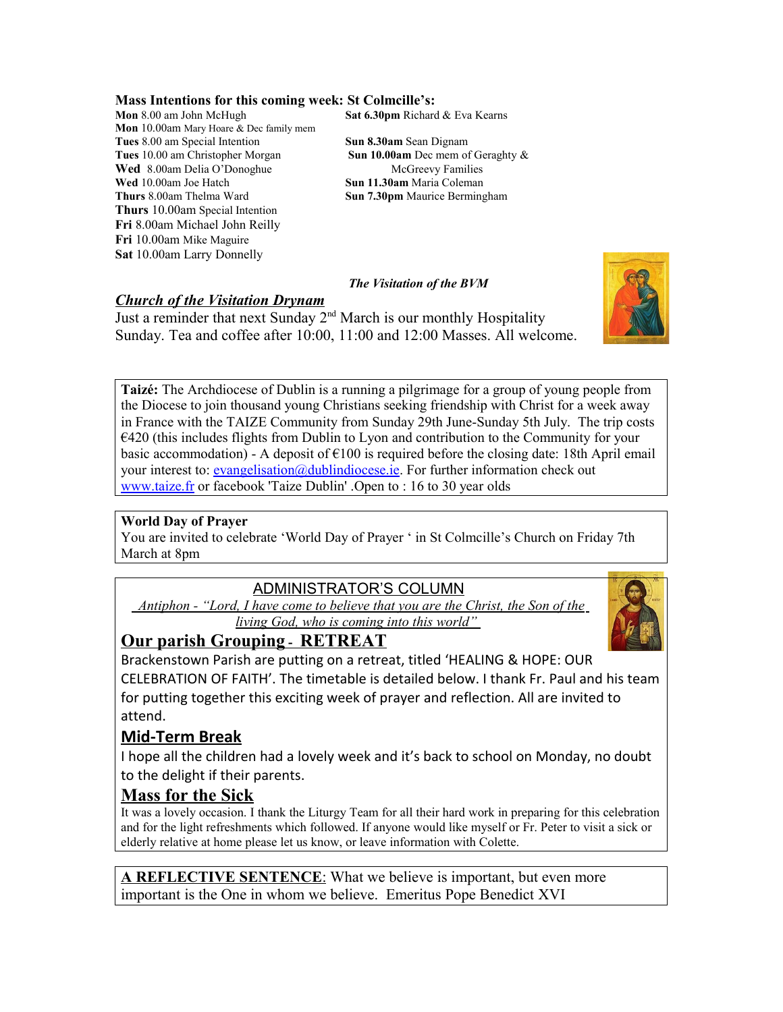#### **Mass Intentions for this coming week: St Colmcille's:**

**Mon** 8.00 am John McHugh **Sat 6.30pm** Richard & Eva Kearns **Mon** 10.00am Mary Hoare & Dec family mem **Tues** 8.00 am Special Intention<br> **Tues** 10.00 am Christopher Morgan<br> **Sun 10.00 am** Dec mem of Geraghty & **Tues** 10.00 am Christopher Morgan **Wed** 8.00am Delia O'Donoghue McGreevy Families<br> **Wed** 10.00am Joe Hatch Maria Coleman **Thurs** 8.00am Thelma Ward **Sun 7.30pm** Maurice Bermingham **Thurs** 10.00am Special Intention **Fri** 8.00am Michael John Reilly **Fri** 10.00am Mike Maguire **Sat** 10.00am Larry Donnelly

**Sun 11.30am** Maria Coleman

 *The Visitation of the BVM*

### *Church of the Visitation Drynam*

Just a reminder that next Sunday 2<sup>nd</sup> March is our monthly Hospitality Sunday. Tea and coffee after 10:00, 11:00 and 12:00 Masses. All welcome.

**Taizé:** The Archdiocese of Dublin is a running a pilgrimage for a group of young people from the Diocese to join thousand young Christians seeking friendship with Christ for a week away in France with the TAIZE Community from Sunday 29th June-Sunday 5th July. The trip costs  $E$  E420 (this includes flights from Dublin to Lyon and contribution to the Community for your basic accommodation) - A deposit of  $\epsilon$ 100 is required before the closing date: 18th April email your interest to: **evangelisation**@dublindiocese.ie. For further information check out [www.taize.fr](http://www.taize.fr/) or facebook 'Taize Dublin' .Open to : 16 to 30 year olds

#### **World Day of Prayer**

You are invited to celebrate 'World Day of Prayer ' in St Colmcille's Church on Friday 7th March at 8pm

# ADMINISTRATOR'S COLUMN

 *Antiphon - "Lord, I have come to believe that you are the Christ, the Son of the living God, who is coming into this world"* 



Brackenstown Parish are putting on a retreat, titled 'HEALING & HOPE: OUR CELEBRATION OF FAITH'. The timetable is detailed below. I thank Fr. Paul and his team for putting together this exciting week of prayer and reflection. All are invited to attend.

### **Mid-Term Break**

I hope all the children had a lovely week and it's back to school on Monday, no doubt to the delight if their parents.

## **Mass for the Sick**

It was a lovely occasion. I thank the Liturgy Team for all their hard work in preparing for this celebration and for the light refreshments which followed. If anyone would like myself or Fr. Peter to visit a sick or elderly relative at home please let us know, or leave information with Colette.

 **A REFLECTIVE SENTENCE** : What we believe is important, but even more important is the One in whom we believe. Emeritus Pope Benedict XVI

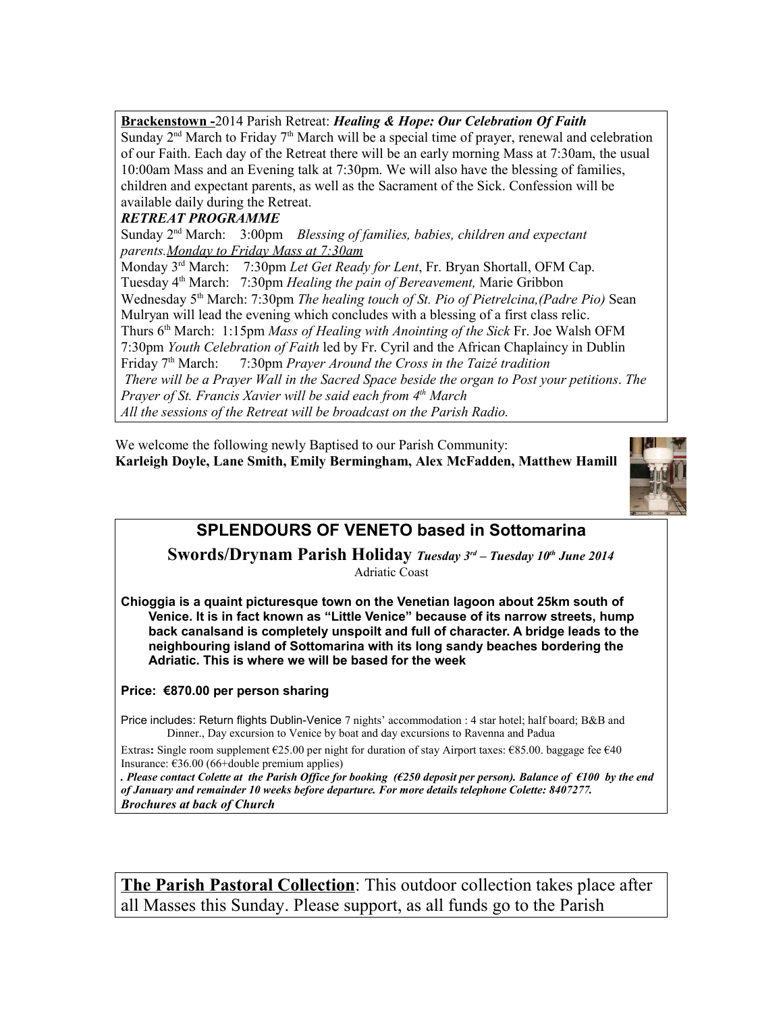**Brackenstown -**2014 Parish Retreat: *Healing & Hope: Our Celebration Of Faith* Sunday  $2<sup>nd</sup>$  March to Friday  $7<sup>th</sup>$  March will be a special time of prayer, renewal and celebration of our Faith. Each day of the Retreat there will be an early morning Mass at 7:30am, the usual 10:00am Mass and an Evening talk at 7:30pm. We will also have the blessing of families, children and expectant parents, as well as the Sacrament of the Sick. Confession will be available daily during the Retreat.

### *RETREAT PROGRAMME*

Sunday 2nd March: 3:00pm *Blessing of families, babies, children and expectant parents.Monday to Friday Mass at 7:30am*

Monday 3rd March: 7:30pm *Let Get Ready for Lent*, Fr. Bryan Shortall, OFM Cap. Tuesday 4th March: 7:30pm *Healing the pain of Bereavement,* Marie Gribbon Wednesday 5<sup>th</sup> March: 7:30pm *The healing touch of St. Pio of Pietrelcina,(Padre Pio)* Sean Mulryan will lead the evening which concludes with a blessing of a first class relic. Thurs 6th March: 1:15pm *Mass of Healing with Anointing of the Sick* Fr. Joe Walsh OFM 7:30pm *Youth Celebration of Faith* led by Fr. Cyril and the African Chaplaincy in Dublin Friday 7th March: 7:30pm *Prayer Around the Cross in the Taizé tradition There will be a Prayer Wall in the Sacred Space beside the organ to Post your petitions*. *The Prayer of St. Francis Xavier will be said each from 4th March All the sessions of the Retreat will be broadcast on the Parish Radio.*

We welcome the following newly Baptised to our Parish Community: **Karleigh Doyle, Lane Smith, Emily Bermingham, Alex McFadden, Matthew Hamill**



# **SPLENDOURS OF VENETO based in Sottomarina**

**Swords/Drynam Parish Holiday** *Tuesday 3rd – Tuesday 10th June 2014* Adriatic Coast

**Chioggia is a quaint picturesque town on the Venetian lagoon about 25km south of Venice. It is in fact known as "Little Venice" because of its narrow streets, hump back canalsand is completely unspoilt and full of character. A bridge leads to the neighbouring island of Sottomarina with its long sandy beaches bordering the Adriatic. This is where we will be based for the week**

#### **Price: €870.00 per person sharing**

Price includes: Return flights Dublin-Venice 7 nights' accommodation : 4 star hotel; half board; B&B and Dinner., Day excursion to Venice by boat and day excursions to Ravenna and Padua

Extras**:** Single room supplement €25.00 per night for duration of stay Airport taxes: €85.00. baggage fee €40 Insurance:  $\epsilon$ 36.00 (66+double premium applies)

*. Please contact Colette at the Parish Office for booking (€250 deposit per person). Balance of €100 by the end of January and remainder 10 weeks before departure. For more details telephone Colette: 8407277. Brochures at back of Church*

**The Parish Pastoral Collection**: This outdoor collection takes place after all Masses this Sunday. Please support, as all funds go to the Parish